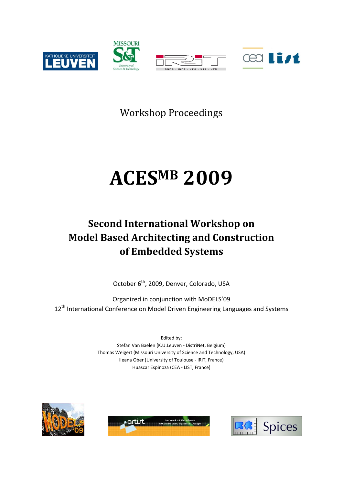

Workshop Proceedings

# **ACESMB 2009**

### **Second International Workshop on Model Based Architecting and Construction of Embedded Systems**

October 6<sup>th</sup>, 2009, Denver, Colorado, USA

Organized in conjunction with MoDELS'09 12<sup>th</sup> International Conference on Model Driven Engineering Languages and Systems

> Edited by: Stefan Van Baelen (K.U.Leuven - DistriNet, Belgium) Thomas Weigert (Missouri University of Science and Technology, USA) Ileana Ober (University of Toulouse - IRIT, France) Huascar Espinoza (CEA - LIST, France)





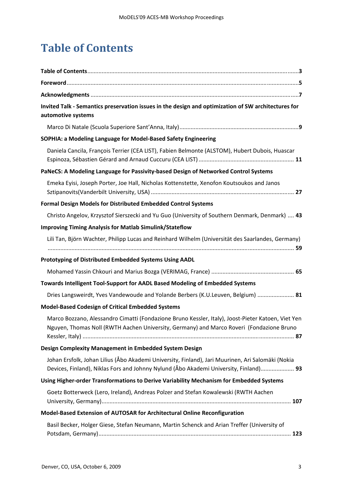## **Table of Contents**

| Invited Talk - Semantics preservation issues in the design and optimization of SW architectures for<br>automotive systems                                                                      |
|------------------------------------------------------------------------------------------------------------------------------------------------------------------------------------------------|
|                                                                                                                                                                                                |
| SOPHIA: a Modeling Language for Model-Based Safety Engineering                                                                                                                                 |
| Daniela Cancila, François Terrier (CEA LIST), Fabien Belmonte (ALSTOM), Hubert Dubois, Huascar                                                                                                 |
| PaNeCS: A Modeling Language for Passivity-based Design of Networked Control Systems                                                                                                            |
| Emeka Eyisi, Joseph Porter, Joe Hall, Nicholas Kottenstette, Xenofon Koutsoukos and Janos                                                                                                      |
| Formal Design Models for Distributed Embedded Control Systems                                                                                                                                  |
| Christo Angelov, Krzysztof Sierszecki and Yu Guo (University of Southern Denmark, Denmark)  43                                                                                                 |
| <b>Improving Timing Analysis for Matlab Simulink/Stateflow</b>                                                                                                                                 |
| Lili Tan, Björn Wachter, Philipp Lucas and Reinhard Wilhelm (Universität des Saarlandes, Germany)                                                                                              |
| Prototyping of Distributed Embedded Systems Using AADL                                                                                                                                         |
|                                                                                                                                                                                                |
| Towards Intelligent Tool-Support for AADL Based Modeling of Embedded Systems                                                                                                                   |
| Dries Langsweirdt, Yves Vandewoude and Yolande Berbers (K.U.Leuven, Belgium)  81                                                                                                               |
| <b>Model-Based Codesign of Critical Embedded Systems</b>                                                                                                                                       |
| Marco Bozzano, Alessandro Cimatti (Fondazione Bruno Kessler, Italy), Joost-Pieter Katoen, Viet Yen<br>Nguyen, Thomas Noll (RWTH Aachen University, Germany) and Marco Roveri (Fondazione Bruno |
| Design Complexity Management in Embedded System Design                                                                                                                                         |
| Johan Ersfolk, Johan Lilius (Åbo Akademi University, Finland), Jari Muurinen, Ari Salomäki (Nokia<br>Devices, Finland), Niklas Fors and Johnny Nylund (Åbo Akademi University, Finland) 93     |
| Using Higher-order Transformations to Derive Variability Mechanism for Embedded Systems                                                                                                        |
| Goetz Botterweck (Lero, Ireland), Andreas Polzer and Stefan Kowalewski (RWTH Aachen                                                                                                            |
| Model-Based Extension of AUTOSAR for Architectural Online Reconfiguration                                                                                                                      |
| Basil Becker, Holger Giese, Stefan Neumann, Martin Schenck and Arian Treffer (University of                                                                                                    |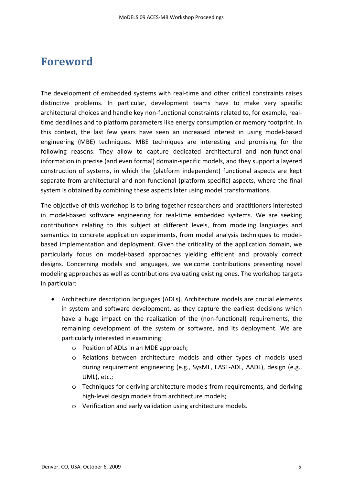#### **Foreword**

The development of embedded systems with real-time and other critical constraints raises distinctive problems. In particular, development teams have to make very specific architectural choices and handle key non-functional constraints related to, for example, realtime deadlines and to platform parameters like energy consumption or memory footprint. In this context, the last few years have seen an increased interest in using model-based engineering (MBE) techniques. MBE techniques are interesting and promising for the following reasons: They allow to capture dedicated architectural and non-functional information in precise (and even formal) domain-specific models, and they support a layered construction of systems, in which the (platform independent) functional aspects are kept separate from architectural and non-functional (platform specific) aspects, where the final system is obtained by combining these aspects later using model transformations.

The objective of this workshop is to bring together researchers and practitioners interested in model-based software engineering for real-time embedded systems. We are seeking contributions relating to this subject at different levels, from modeling languages and semantics to concrete application experiments, from model analysis techniques to modelbased implementation and deployment. Given the criticality of the application domain, we particularly focus on model-based approaches yielding efficient and provably correct designs. Concerning models and languages, we welcome contributions presenting novel modeling approaches as well as contributions evaluating existing ones. The workshop targets in particular:

- Architecture description languages (ADLs). Architecture models are crucial elements in system and software development, as they capture the earliest decisions which have a huge impact on the realization of the (non-functional) requirements, the remaining development of the system or software, and its deployment. We are particularly interested in examining:
	- o Position of ADLs in an MDE approach;
	- o Relations between architecture models and other types of models used during requirement engineering (e.g., SysML, EAST-ADL, AADL), design (e.g., UML), etc.;
	- o Techniques for deriving architecture models from requirements, and deriving high-level design models from architecture models;
	- o Verification and early validation using architecture models.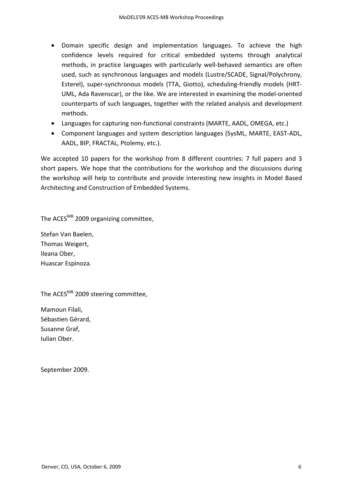- Domain specific design and implementation languages. To achieve the high confidence levels required for critical embedded systems through analytical methods, in practice languages with particularly well-behaved semantics are often used, such as synchronous languages and models (Lustre/SCADE, Signal/Polychrony, Esterel), super-synchronous models (TTA, Giotto), scheduling-friendly models (HRT-UML, Ada Ravenscar), or the like. We are interested in examining the model-oriented counterparts of such languages, together with the related analysis and development methods.
- Languages for capturing non-functional constraints (MARTE, AADL, OMEGA, etc.)
- Component languages and system description languages (SysML, MARTE, EAST-ADL, AADL, BIP, FRACTAL, Ptolemy, etc.).

We accepted 10 papers for the workshop from 8 different countries: 7 full papers and 3 short papers. We hope that the contributions for the workshop and the discussions during the workshop will help to contribute and provide interesting new insights in Model Based Architecting and Construction of Embedded Systems.

The ACES<sup>MB</sup> 2009 organizing committee,

Stefan Van Baelen, Thomas Weigert, Ileana Ober, Huascar Espinoza.

The ACES<sup>MB</sup> 2009 steering committee,

Mamoun Filali, Sébastien Gérard, Susanne Graf, Iulian Ober.

September 2009.